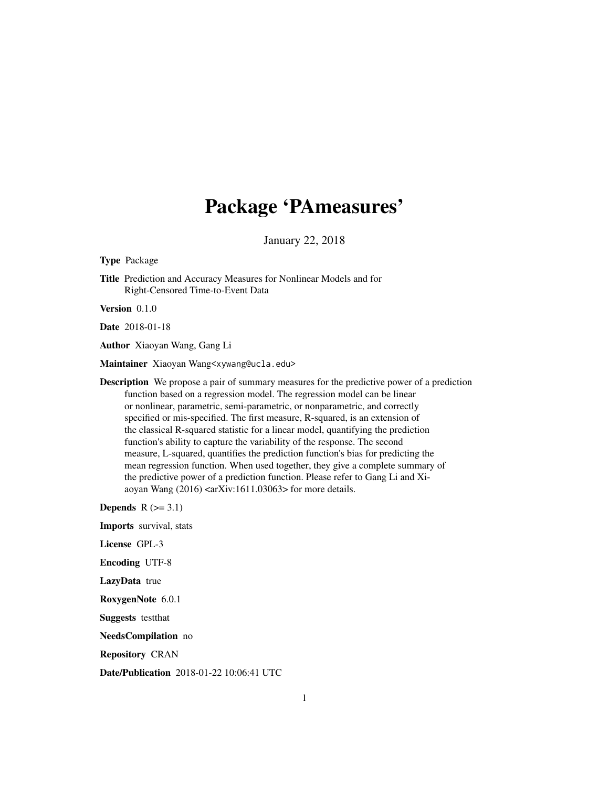## Package 'PAmeasures'

January 22, 2018

Type Package

Title Prediction and Accuracy Measures for Nonlinear Models and for Right-Censored Time-to-Event Data

Version 0.1.0

Date 2018-01-18

Author Xiaoyan Wang, Gang Li

Maintainer Xiaoyan Wang<xywang@ucla.edu>

Description We propose a pair of summary measures for the predictive power of a prediction function based on a regression model. The regression model can be linear or nonlinear, parametric, semi-parametric, or nonparametric, and correctly specified or mis-specified. The first measure, R-squared, is an extension of the classical R-squared statistic for a linear model, quantifying the prediction function's ability to capture the variability of the response. The second measure, L-squared, quantifies the prediction function's bias for predicting the mean regression function. When used together, they give a complete summary of the predictive power of a prediction function. Please refer to Gang Li and Xiaoyan Wang  $(2016)$  <arXiv:1611.03063> for more details.

Depends  $R$  ( $>= 3.1$ )

Imports survival, stats

License GPL-3

Encoding UTF-8

LazyData true

RoxygenNote 6.0.1

Suggests testthat

NeedsCompilation no

Repository CRAN

Date/Publication 2018-01-22 10:06:41 UTC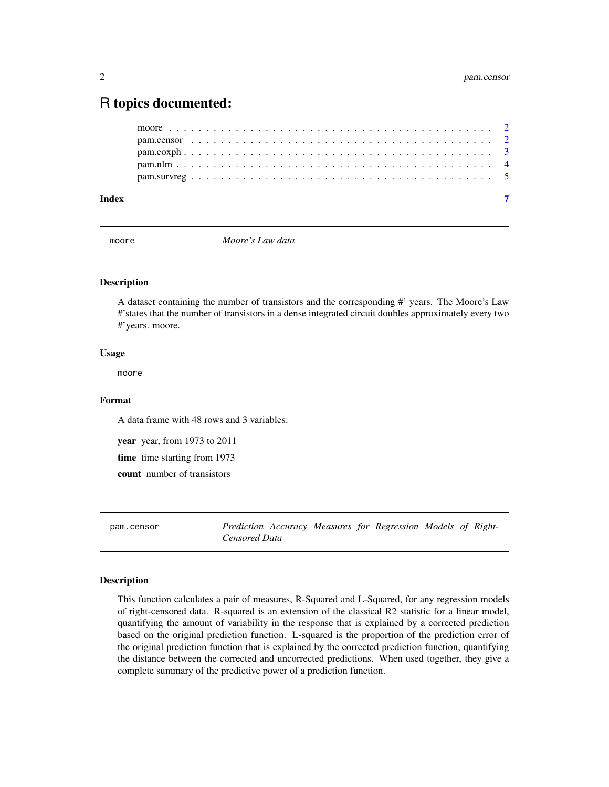### <span id="page-1-0"></span>R topics documented:

| Index |  |  |  |  |  |  |  |  |  |  |  |  |  |  |  |  |  |  |  |  |  |  |
|-------|--|--|--|--|--|--|--|--|--|--|--|--|--|--|--|--|--|--|--|--|--|--|
|       |  |  |  |  |  |  |  |  |  |  |  |  |  |  |  |  |  |  |  |  |  |  |
|       |  |  |  |  |  |  |  |  |  |  |  |  |  |  |  |  |  |  |  |  |  |  |
|       |  |  |  |  |  |  |  |  |  |  |  |  |  |  |  |  |  |  |  |  |  |  |
|       |  |  |  |  |  |  |  |  |  |  |  |  |  |  |  |  |  |  |  |  |  |  |
|       |  |  |  |  |  |  |  |  |  |  |  |  |  |  |  |  |  |  |  |  |  |  |

moore *Moore's Law data*

#### Description

A dataset containing the number of transistors and the corresponding #' years. The Moore's Law #'states that the number of transistors in a dense integrated circuit doubles approximately every two #'years. moore.

#### Usage

moore

#### Format

A data frame with 48 rows and 3 variables:

year year, from 1973 to 2011

time time starting from 1973

count number of transistors

pam.censor *Prediction Accuracy Measures for Regression Models of Right-Censored Data*

#### Description

This function calculates a pair of measures, R-Squared and L-Squared, for any regression models of right-censored data. R-squared is an extension of the classical R2 statistic for a linear model, quantifying the amount of variability in the response that is explained by a corrected prediction based on the original prediction function. L-squared is the proportion of the prediction error of the original prediction function that is explained by the corrected prediction function, quantifying the distance between the corrected and uncorrected predictions. When used together, they give a complete summary of the predictive power of a prediction function.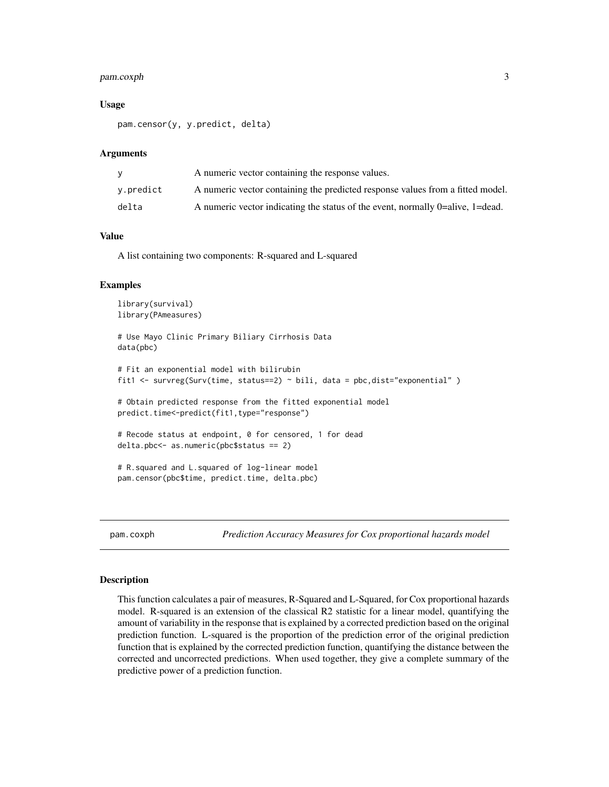#### <span id="page-2-0"></span>pam.coxph 3

#### Usage

pam.censor(y, y.predict, delta)

#### Arguments

|           | A numeric vector containing the response values.                               |
|-----------|--------------------------------------------------------------------------------|
| v.predict | A numeric vector containing the predicted response values from a fitted model. |
| delta     | A numeric vector indicating the status of the event, normally 0=alive, 1=dead. |

#### Value

A list containing two components: R-squared and L-squared

#### Examples

```
library(survival)
library(PAmeasures)
# Use Mayo Clinic Primary Biliary Cirrhosis Data
data(pbc)
# Fit an exponential model with bilirubin
fit1 <- survreg(Surv(time, status==2) ~ bili, data = pbc,dist="exponential" )
# Obtain predicted response from the fitted exponential model
predict.time<-predict(fit1,type="response")
# Recode status at endpoint, 0 for censored, 1 for dead
delta.pbc<- as.numeric(pbc$status == 2)
# R.squared and L.squared of log-linear model
pam.censor(pbc$time, predict.time, delta.pbc)
```
pam.coxph *Prediction Accuracy Measures for Cox proportional hazards model*

#### Description

This function calculates a pair of measures, R-Squared and L-Squared, for Cox proportional hazards model. R-squared is an extension of the classical R2 statistic for a linear model, quantifying the amount of variability in the response that is explained by a corrected prediction based on the original prediction function. L-squared is the proportion of the prediction error of the original prediction function that is explained by the corrected prediction function, quantifying the distance between the corrected and uncorrected predictions. When used together, they give a complete summary of the predictive power of a prediction function.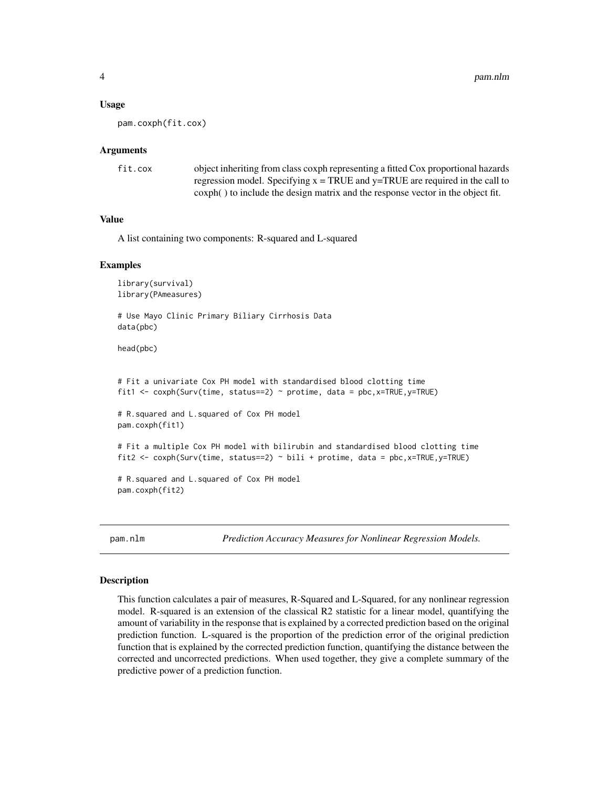#### <span id="page-3-0"></span>Usage

pam.coxph(fit.cox)

#### Arguments

| fit.cox | object inheriting from class coxph representing a fitted Cox proportional hazards  |
|---------|------------------------------------------------------------------------------------|
|         | regression model. Specifying $x = TRUE$ and $y = TRUE$ are required in the call to |
|         | coxph() to include the design matrix and the response vector in the object fit.    |

#### Value

A list containing two components: R-squared and L-squared

#### Examples

```
library(survival)
library(PAmeasures)
```
# Use Mayo Clinic Primary Biliary Cirrhosis Data data(pbc)

head(pbc)

```
# Fit a univariate Cox PH model with standardised blood clotting time
fit1 <- coxph(Surv(time, status==2) ~ protime, data = pbc,x=TRUE,y=TRUE)
```

```
# R.squared and L.squared of Cox PH model
pam.coxph(fit1)
```

```
# Fit a multiple Cox PH model with bilirubin and standardised blood clotting time
fit2 <- coxph(Surv(time, status==2) ~ bili + protime, data = pbc,x=TRUE,y=TRUE)
```

```
# R.squared and L.squared of Cox PH model
pam.coxph(fit2)
```
pam.nlm *Prediction Accuracy Measures for Nonlinear Regression Models.*

#### **Description**

This function calculates a pair of measures, R-Squared and L-Squared, for any nonlinear regression model. R-squared is an extension of the classical R2 statistic for a linear model, quantifying the amount of variability in the response that is explained by a corrected prediction based on the original prediction function. L-squared is the proportion of the prediction error of the original prediction function that is explained by the corrected prediction function, quantifying the distance between the corrected and uncorrected predictions. When used together, they give a complete summary of the predictive power of a prediction function.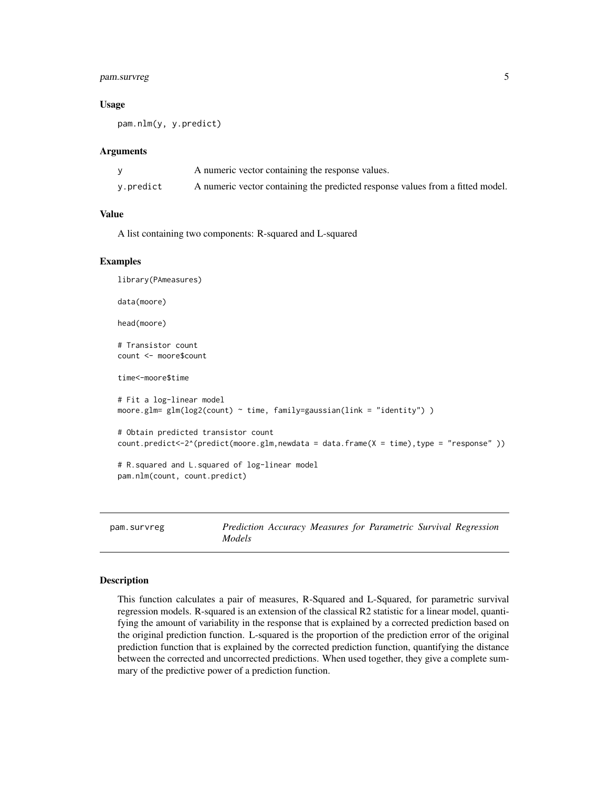#### <span id="page-4-0"></span>pam.survreg 5

#### Usage

pam.nlm(y, y.predict)

#### Arguments

|           | A numeric vector containing the response values.                               |
|-----------|--------------------------------------------------------------------------------|
| y.predict | A numeric vector containing the predicted response values from a fitted model. |

#### Value

A list containing two components: R-squared and L-squared

#### Examples

```
library(PAmeasures)
data(moore)
head(moore)
# Transistor count
count <- moore$count
time<-moore$time
# Fit a log-linear model
moore.glm= glm(log2(count) ~ time, family=gaussian(link = "identity") )
# Obtain predicted transistor count
count.predict<-2^(predict(moore.glm,newdata = data.frame(X = time),type = "response" ))
# R.squared and L.squared of log-linear model
pam.nlm(count, count.predict)
```
pam.survreg *Prediction Accuracy Measures for Parametric Survival Regression Models*

#### **Description**

This function calculates a pair of measures, R-Squared and L-Squared, for parametric survival regression models. R-squared is an extension of the classical R2 statistic for a linear model, quantifying the amount of variability in the response that is explained by a corrected prediction based on the original prediction function. L-squared is the proportion of the prediction error of the original prediction function that is explained by the corrected prediction function, quantifying the distance between the corrected and uncorrected predictions. When used together, they give a complete summary of the predictive power of a prediction function.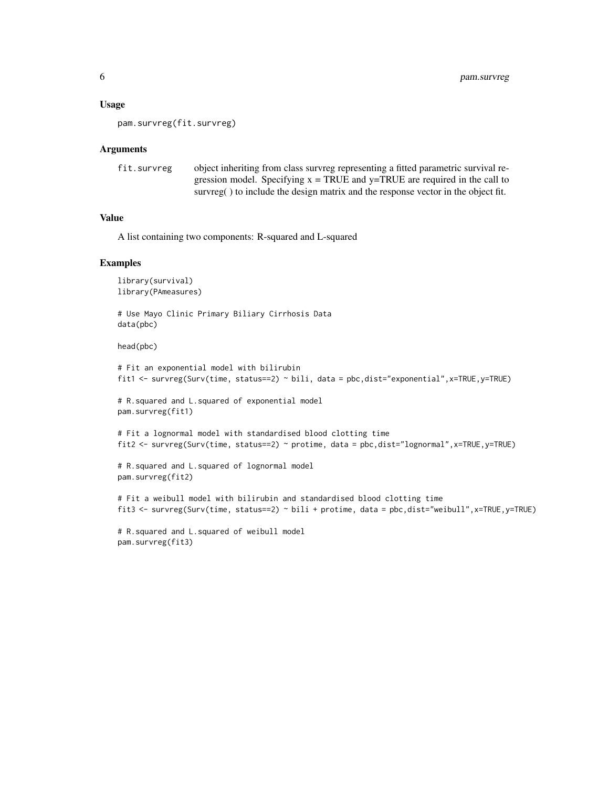#### Usage

pam.survreg(fit.survreg)

#### Arguments

```
fit.survreg object inheriting from class survreg representing a fitted parametric survival re-
                  gression model. Specifying x = TRUE and y = TRUE are required in the call to
                   survreg() to include the design matrix and the response vector in the object fit.
```
#### Value

A list containing two components: R-squared and L-squared

#### Examples

```
library(survival)
library(PAmeasures)
```
# Use Mayo Clinic Primary Biliary Cirrhosis Data data(pbc)

head(pbc)

```
# Fit an exponential model with bilirubin
fit1 <- survreg(Surv(time, status==2) ~ bili, data = pbc,dist="exponential",x=TRUE,y=TRUE)
# R.squared and L.squared of exponential model
pam.survreg(fit1)
# Fit a lognormal model with standardised blood clotting time
fit2 <- survreg(Surv(time, status==2) ~ protime, data = pbc,dist="lognormal",x=TRUE,y=TRUE)
# R.squared and L.squared of lognormal model
pam.survreg(fit2)
# Fit a weibull model with bilirubin and standardised blood clotting time
fit3 <- survreg(Surv(time, status==2) ~ bili + protime, data = pbc,dist="weibull",x=TRUE,y=TRUE)
```

```
# R.squared and L.squared of weibull model
pam.survreg(fit3)
```